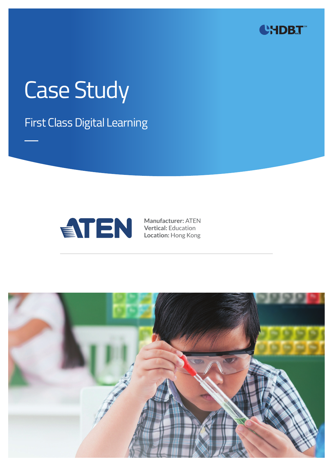

# Case Study

First Class Digital Learning



**Manufacturer:** ATEN **Vertical:** Education **Location:** Hong Kong